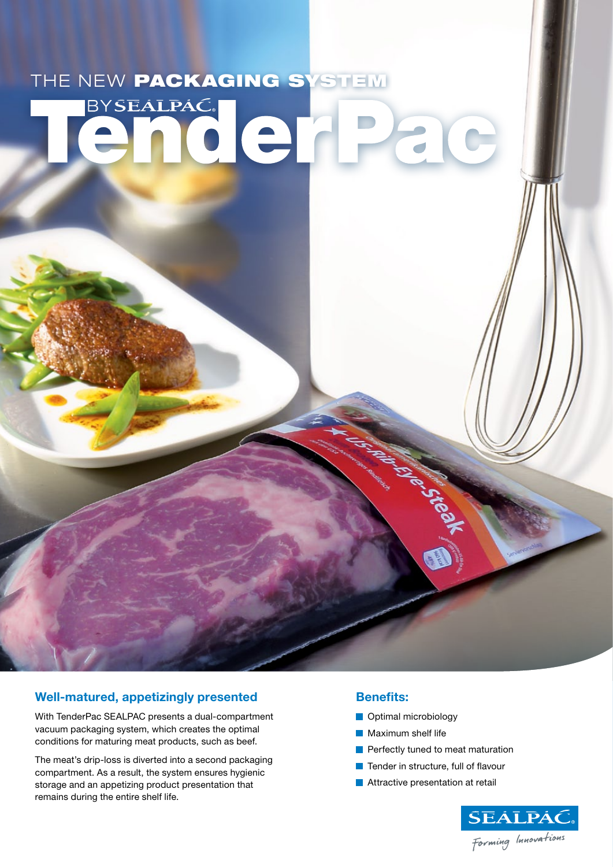## THE NEW PACKAGING SYSTEM  $\mathbf{G}$

### **Well-matured, appetizingly presented**

With TenderPac SEALPAC presents a dual-compartment vacuum packaging system, which creates the optimal conditions for maturing meat products, such as beef.

The meat's drip-loss is diverted into a second packaging compartment. As a result, the system ensures hygienic storage and an appetizing product presentation that remains during the entire shelf life.

### **Benefits:**

- **Optimal microbiology**
- **Maximum shelf life**
- **Perfectly tuned to meat maturation**
- **Tender in structure, full of flavour**

**Micheland** 

**Attractive presentation at retail**